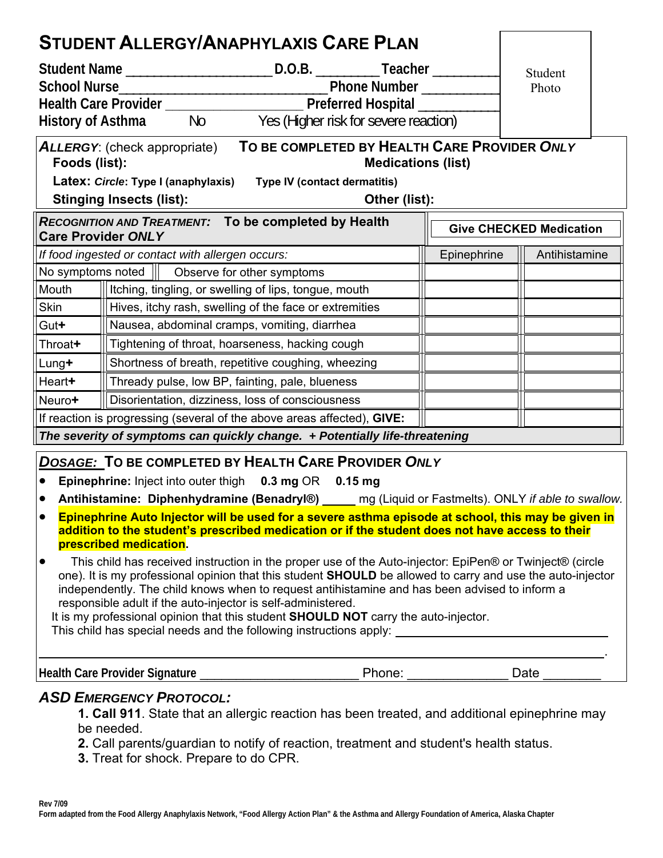|                                                                                                                                                                                                                                                                                                                                                                                                                                                                                                                                                                                                                                                                                                                       | <b>STUDENT ALLERGY/ANAPHYLAXIS CARE PLAN</b>                                |                                          |                                |             |               |  |
|-----------------------------------------------------------------------------------------------------------------------------------------------------------------------------------------------------------------------------------------------------------------------------------------------------------------------------------------------------------------------------------------------------------------------------------------------------------------------------------------------------------------------------------------------------------------------------------------------------------------------------------------------------------------------------------------------------------------------|-----------------------------------------------------------------------------|------------------------------------------|--------------------------------|-------------|---------------|--|
|                                                                                                                                                                                                                                                                                                                                                                                                                                                                                                                                                                                                                                                                                                                       |                                                                             |                                          |                                | Student     |               |  |
| <b>School Nurse_</b>                                                                                                                                                                                                                                                                                                                                                                                                                                                                                                                                                                                                                                                                                                  |                                                                             |                                          | <b>Phone Number</b>            |             | Photo         |  |
| Health Care Provider ___________________________ Preferred Hospital ______                                                                                                                                                                                                                                                                                                                                                                                                                                                                                                                                                                                                                                            |                                                                             |                                          |                                |             |               |  |
| <b>History of Asthma</b>                                                                                                                                                                                                                                                                                                                                                                                                                                                                                                                                                                                                                                                                                              |                                                                             | No Yes (Higher risk for severe reaction) |                                |             |               |  |
| TO BE COMPLETED BY HEALTH CARE PROVIDER ONLY<br><b>ALLERGY:</b> (check appropriate)<br>Foods (list):<br><b>Medications (list)</b><br>Latex: Circle: Type I (anaphylaxis)<br>Type IV (contact dermatitis)                                                                                                                                                                                                                                                                                                                                                                                                                                                                                                              |                                                                             |                                          |                                |             |               |  |
|                                                                                                                                                                                                                                                                                                                                                                                                                                                                                                                                                                                                                                                                                                                       | <b>Stinging Insects (list):</b>                                             |                                          | Other (list):                  |             |               |  |
| RECOGNITION AND TREATMENT: To be completed by Health<br><b>Care Provider ONLY</b>                                                                                                                                                                                                                                                                                                                                                                                                                                                                                                                                                                                                                                     |                                                                             |                                          | <b>Give CHECKED Medication</b> |             |               |  |
|                                                                                                                                                                                                                                                                                                                                                                                                                                                                                                                                                                                                                                                                                                                       | If food ingested or contact with allergen occurs:                           |                                          |                                | Epinephrine | Antihistamine |  |
|                                                                                                                                                                                                                                                                                                                                                                                                                                                                                                                                                                                                                                                                                                                       | No symptoms noted $\ \ $ Observe for other symptoms                         |                                          |                                |             |               |  |
| Mouth                                                                                                                                                                                                                                                                                                                                                                                                                                                                                                                                                                                                                                                                                                                 | Itching, tingling, or swelling of lips, tongue, mouth                       |                                          |                                |             |               |  |
| Skin                                                                                                                                                                                                                                                                                                                                                                                                                                                                                                                                                                                                                                                                                                                  | Hives, itchy rash, swelling of the face or extremities                      |                                          |                                |             |               |  |
| Gut+                                                                                                                                                                                                                                                                                                                                                                                                                                                                                                                                                                                                                                                                                                                  | Nausea, abdominal cramps, vomiting, diarrhea                                |                                          |                                |             |               |  |
| Throat+                                                                                                                                                                                                                                                                                                                                                                                                                                                                                                                                                                                                                                                                                                               | Tightening of throat, hoarseness, hacking cough                             |                                          |                                |             |               |  |
| $Lung+$                                                                                                                                                                                                                                                                                                                                                                                                                                                                                                                                                                                                                                                                                                               | Shortness of breath, repetitive coughing, wheezing                          |                                          |                                |             |               |  |
| Heart+                                                                                                                                                                                                                                                                                                                                                                                                                                                                                                                                                                                                                                                                                                                | Thready pulse, low BP, fainting, pale, blueness                             |                                          |                                |             |               |  |
| Neuro+<br>Disorientation, dizziness, loss of consciousness                                                                                                                                                                                                                                                                                                                                                                                                                                                                                                                                                                                                                                                            |                                                                             |                                          |                                |             |               |  |
|                                                                                                                                                                                                                                                                                                                                                                                                                                                                                                                                                                                                                                                                                                                       | If reaction is progressing (several of the above areas affected), GIVE:     |                                          |                                |             |               |  |
|                                                                                                                                                                                                                                                                                                                                                                                                                                                                                                                                                                                                                                                                                                                       | The severity of symptoms can quickly change. + Potentially life-threatening |                                          |                                |             |               |  |
| <b>DOSAGE: TO BE COMPLETED BY HEALTH CARE PROVIDER ONLY</b><br>Epinephrine: Inject into outer thigh 0.3 mg OR 0.15 mg<br>Antihistamine: Diphenhydramine (Benadryl®) _____ mg (Liquid or Fastmelts). ONLY if able to swallow.<br>$\bullet$<br>• Epinephrine Auto Injector will be used for a severe asthma episode at school, this may be given in<br>addition to the student's prescribed medication or if the student does not have access to their<br>prescribed medication.<br>This child has received instruction in the proper use of the Auto-injector: EpiPen® or Twinject® (circle<br>$\bullet$<br>one). It is my professional opinion that this student SHOULD be allowed to carry and use the auto-injector |                                                                             |                                          |                                |             |               |  |
| independently. The child knows when to request antihistamine and has been advised to inform a<br>responsible adult if the auto-injector is self-administered.<br>It is my professional opinion that this student SHOULD NOT carry the auto-injector.<br>This child has special needs and the following instructions apply: _________________________________<br>Date ______                                                                                                                                                                                                                                                                                                                                           |                                                                             |                                          |                                |             |               |  |
| <b>ASD EMERGENCY PROTOCOL:</b><br>1. Call 911. State that an allergic reaction has been treated, and additional epinephrine may                                                                                                                                                                                                                                                                                                                                                                                                                                                                                                                                                                                       |                                                                             |                                          |                                |             |               |  |

be needed.

**2.** Call parents/guardian to notify of reaction, treatment and student's health status.

**3.** Treat for shock. Prepare to do CPR.